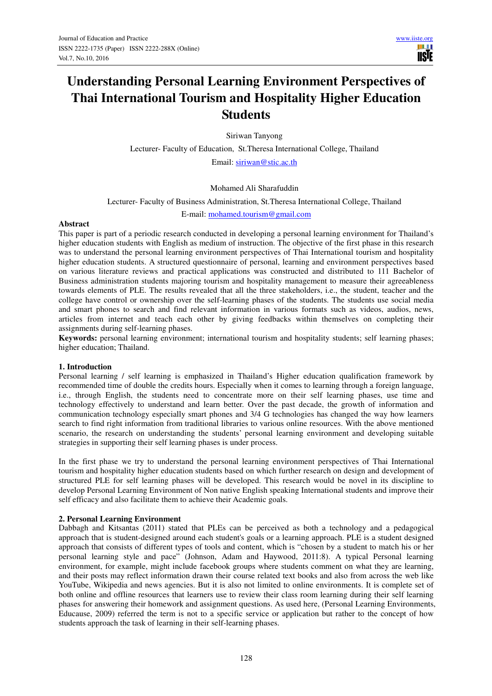# **Understanding Personal Learning Environment Perspectives of Thai International Tourism and Hospitality Higher Education Students**

Siriwan Tanyong

Lecturer- Faculty of Education, St.Theresa International College, Thailand

Email: siriwan@stic.ac.th

# Mohamed Ali Sharafuddin

Lecturer- Faculty of Business Administration, St.Theresa International College, Thailand

E-mail: mohamed.tourism@gmail.com

#### **Abstract**

This paper is part of a periodic research conducted in developing a personal learning environment for Thailand's higher education students with English as medium of instruction. The objective of the first phase in this research was to understand the personal learning environment perspectives of Thai International tourism and hospitality higher education students. A structured questionnaire of personal, learning and environment perspectives based on various literature reviews and practical applications was constructed and distributed to 111 Bachelor of Business administration students majoring tourism and hospitality management to measure their agreeableness towards elements of PLE. The results revealed that all the three stakeholders, i.e., the student, teacher and the college have control or ownership over the self-learning phases of the students. The students use social media and smart phones to search and find relevant information in various formats such as videos, audios, news, articles from internet and teach each other by giving feedbacks within themselves on completing their assignments during self-learning phases.

**Keywords:** personal learning environment; international tourism and hospitality students; self learning phases; higher education; Thailand.

#### **1. Introduction**

Personal learning / self learning is emphasized in Thailand's Higher education qualification framework by recommended time of double the credits hours. Especially when it comes to learning through a foreign language, i.e., through English, the students need to concentrate more on their self learning phases, use time and technology effectively to understand and learn better. Over the past decade, the growth of information and communication technology especially smart phones and 3/4 G technologies has changed the way how learners search to find right information from traditional libraries to various online resources. With the above mentioned scenario, the research on understanding the students' personal learning environment and developing suitable strategies in supporting their self learning phases is under process.

In the first phase we try to understand the personal learning environment perspectives of Thai International tourism and hospitality higher education students based on which further research on design and development of structured PLE for self learning phases will be developed. This research would be novel in its discipline to develop Personal Learning Environment of Non native English speaking International students and improve their self efficacy and also facilitate them to achieve their Academic goals.

#### **2. Personal Learning Environment**

Dabbagh and Kitsantas (2011) stated that PLEs can be perceived as both a technology and a pedagogical approach that is student-designed around each student's goals or a learning approach. PLE is a student designed approach that consists of different types of tools and content, which is "chosen by a student to match his or her personal learning style and pace" (Johnson, Adam and Haywood, 2011:8). A typical Personal learning environment, for example, might include facebook groups where students comment on what they are learning, and their posts may reflect information drawn their course related text books and also from across the web like YouTube, Wikipedia and news agencies. But it is also not limited to online environments. It is complete set of both online and offline resources that learners use to review their class room learning during their self learning phases for answering their homework and assignment questions. As used here, (Personal Learning Environments, Educause, 2009) referred the term is not to a specific service or application but rather to the concept of how students approach the task of learning in their self-learning phases.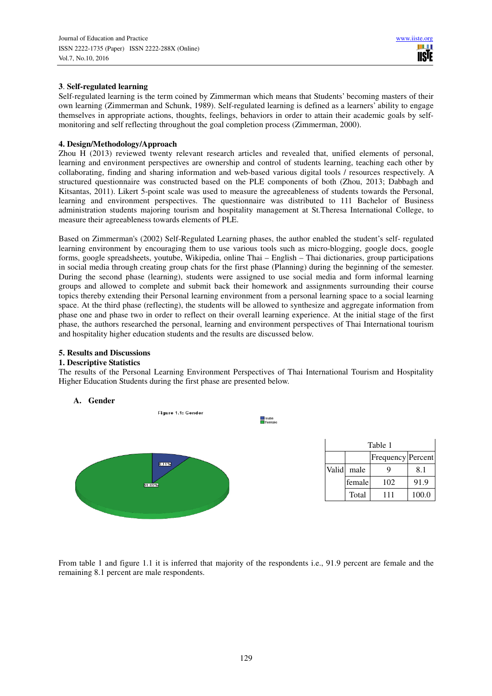# **3**. **Self-regulated learning**

Self-regulated learning is the term coined by Zimmerman which means that Students' becoming masters of their own learning (Zimmerman and Schunk, 1989). Self-regulated learning is defined as a learners' ability to engage themselves in appropriate actions, thoughts, feelings, behaviors in order to attain their academic goals by selfmonitoring and self reflecting throughout the goal completion process (Zimmerman, 2000).

# **4. Design/Methodology/Approach**

Zhou H (2013) reviewed twenty relevant research articles and revealed that, unified elements of personal, learning and environment perspectives are ownership and control of students learning, teaching each other by collaborating, finding and sharing information and web-based various digital tools / resources respectively. A structured questionnaire was constructed based on the PLE components of both (Zhou, 2013; Dabbagh and Kitsantas, 2011). Likert 5-point scale was used to measure the agreeableness of students towards the Personal, learning and environment perspectives. The questionnaire was distributed to 111 Bachelor of Business administration students majoring tourism and hospitality management at St.Theresa International College, to measure their agreeableness towards elements of PLE.

Based on Zimmerman's (2002) Self-Regulated Learning phases, the author enabled the student's self- regulated learning environment by encouraging them to use various tools such as micro-blogging, google docs, google forms, google spreadsheets, youtube, Wikipedia, online Thai – English – Thai dictionaries, group participations in social media through creating group chats for the first phase (Planning) during the beginning of the semester. During the second phase (learning), students were assigned to use social media and form informal learning groups and allowed to complete and submit back their homework and assignments surrounding their course topics thereby extending their Personal learning environment from a personal learning space to a social learning space. At the third phase (reflecting), the students will be allowed to synthesize and aggregate information from phase one and phase two in order to reflect on their overall learning experience. At the initial stage of the first phase, the authors researched the personal, learning and environment perspectives of Thai International tourism and hospitality higher education students and the results are discussed below.

# **5. Results and Discussions**

# **1. Descriptive Statistics**

The results of the Personal Learning Environment Perspectives of Thai International Tourism and Hospitality Higher Education Students during the first phase are presented below.



From table 1 and figure 1.1 it is inferred that majority of the respondents i.e., 91.9 percent are female and the remaining 8.1 percent are male respondents.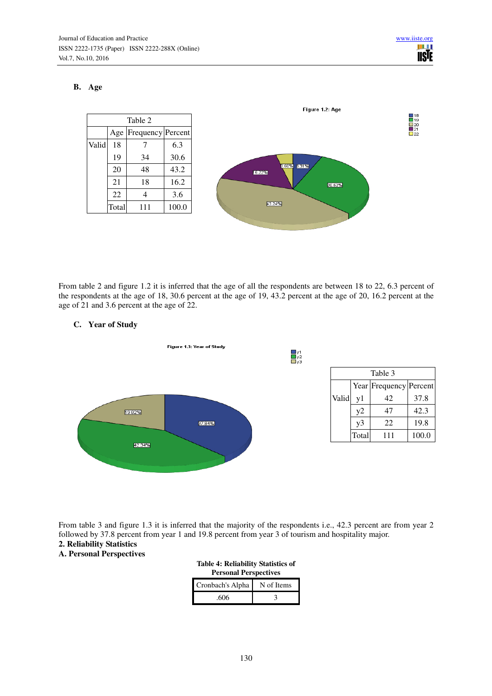# **B. Age**



From table 2 and figure 1.2 it is inferred that the age of all the respondents are between 18 to 22, 6.3 percent of the respondents at the age of 18, 30.6 percent at the age of 19, 43.2 percent at the age of 20, 16.2 percent at the age of 21 and 3.6 percent at the age of 22.

# **C. Year of Study**



| Table 3 |                        |     |       |  |  |
|---------|------------------------|-----|-------|--|--|
|         | Year Frequency Percent |     |       |  |  |
| Valid   | y1                     | 42  | 37.8  |  |  |
|         | y2                     | 47  | 42.3  |  |  |
|         | $v_3$                  | 22  | 19.8  |  |  |
|         | Total                  | 111 | 100.0 |  |  |

From table 3 and figure 1.3 it is inferred that the majority of the respondents i.e., 42.3 percent are from year 2 followed by 37.8 percent from year 1 and 19.8 percent from year 3 of tourism and hospitality major.

# **2. Reliability Statistics**

# **A. Personal Perspectives**

| <b>Table 4: Reliability Statistics of</b><br><b>Personal Perspectives</b> |            |  |  |  |  |
|---------------------------------------------------------------------------|------------|--|--|--|--|
| Cronbach's Alpha                                                          | N of Items |  |  |  |  |
| .606                                                                      | 14         |  |  |  |  |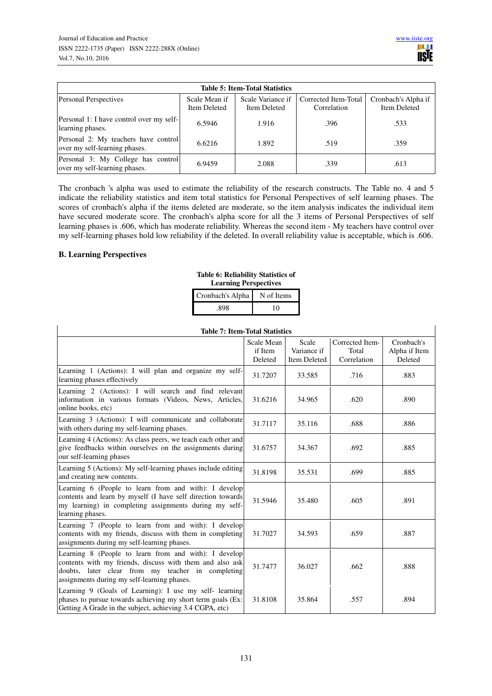| <b>Table 5: Item-Total Statistics</b>                                 |                               |                                   |                                     |                                     |  |  |  |
|-----------------------------------------------------------------------|-------------------------------|-----------------------------------|-------------------------------------|-------------------------------------|--|--|--|
| <b>Personal Perspectives</b>                                          | Scale Mean if<br>Item Deleted | Scale Variance if<br>Item Deleted | Corrected Item-Total<br>Correlation | Cronbach's Alpha if<br>Item Deleted |  |  |  |
| Personal 1: I have control over my self-<br>learning phases.          | 6.5946                        | 1.916                             | .396                                | .533                                |  |  |  |
| Personal 2: My teachers have control<br>over my self-learning phases. | 6.6216                        | 1.892                             | .519                                | .359                                |  |  |  |
| Personal 3: My College has control<br>over my self-learning phases.   | 6.9459                        | 2.088                             | .339                                | .613                                |  |  |  |

The cronbach 's alpha was used to estimate the reliability of the research constructs. The Table no. 4 and 5 indicate the reliability statistics and item total statistics for Personal Perspectives of self learning phases. The scores of cronbach's alpha if the items deleted are moderate, so the item analysis indicates the individual item have secured moderate score. The cronbach's alpha score for all the 3 items of Personal Perspectives of self learning phases is .606, which has moderate reliability. Whereas the second item - My teachers have control over my self-learning phases hold low reliability if the deleted. In overall reliability value is acceptable, which is .606.

#### **B. Learning Perspectives**

**Table 6: Reliability Statistics of Learning Perspectives**

| Cronbach's Alpha | N of Items |
|------------------|------------|
| 898              | ∩          |

| <b>Table 7: Item-Total Statistics</b>                                                                                                                                                                                 |                                  |                                             |                                         |                                        |  |  |
|-----------------------------------------------------------------------------------------------------------------------------------------------------------------------------------------------------------------------|----------------------------------|---------------------------------------------|-----------------------------------------|----------------------------------------|--|--|
|                                                                                                                                                                                                                       | Scale Mean<br>if Item<br>Deleted | Scale<br>Variance if<br><b>Item Deleted</b> | Corrected Item-<br>Total<br>Correlation | Cronbach's<br>Alpha if Item<br>Deleted |  |  |
| Learning 1 (Actions): I will plan and organize my self-<br>learning phases effectively                                                                                                                                | 31.7207                          | 33.585                                      | .716                                    | .883                                   |  |  |
| Learning 2 (Actions): I will search and find relevant<br>information in various formats (Videos, News, Articles,<br>online books, etc)                                                                                | 31.6216                          | 34.965                                      | .620                                    | .890                                   |  |  |
| Learning 3 (Actions): I will communicate and collaborate<br>with others during my self-learning phases.                                                                                                               | 31.7117                          | 35.116                                      | .688                                    | .886                                   |  |  |
| Learning 4 (Actions): As class peers, we teach each other and<br>give feedbacks within ourselves on the assignments during<br>our self-learning phases                                                                | 31.6757                          | 34.367                                      | .692                                    | .885                                   |  |  |
| Learning 5 (Actions): My self-learning phases include editing<br>and creating new contents.                                                                                                                           | 31.8198                          | 35.531                                      | .699                                    | .885                                   |  |  |
| Learning 6 (People to learn from and with): I develop<br>contents and learn by myself (I have self direction towards<br>my learning) in completing assignments during my self-<br>learning phases.                    | 31.5946                          | 35.480                                      | .605                                    | .891                                   |  |  |
| Learning 7 (People to learn from and with): I develop<br>contents with my friends, discuss with them in completing<br>assignments during my self-learning phases.                                                     | 31.7027                          | 34.593                                      | .659                                    | .887                                   |  |  |
| Learning 8 (People to learn from and with): I develop<br>contents with my friends, discuss with them and also ask<br>doubts, later clear from my teacher in completing<br>assignments during my self-learning phases. | 31.7477                          | 36.027                                      | .662                                    | .888                                   |  |  |
| Learning 9 (Goals of Learning): I use my self-learning<br>phases to pursue towards achieving my short term goals (Ex:<br>Getting A Grade in the subject, achieving 3.4 CGPA, etc)                                     | 31.8108                          | 35.864                                      | .557                                    | .894                                   |  |  |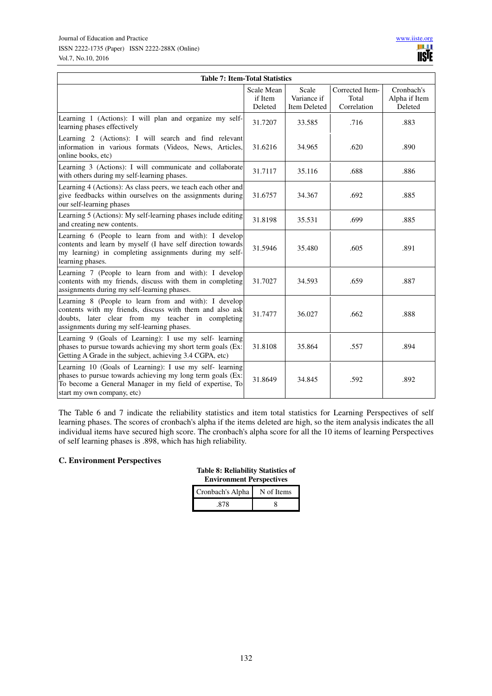| <b>Table 7: Item-Total Statistics</b>                                                                                                                                                                                 |                                  |                                             |                                         |                                        |  |  |  |
|-----------------------------------------------------------------------------------------------------------------------------------------------------------------------------------------------------------------------|----------------------------------|---------------------------------------------|-----------------------------------------|----------------------------------------|--|--|--|
|                                                                                                                                                                                                                       | Scale Mean<br>if Item<br>Deleted | Scale<br>Variance if<br><b>Item Deleted</b> | Corrected Item-<br>Total<br>Correlation | Cronbach's<br>Alpha if Item<br>Deleted |  |  |  |
| Learning 1 (Actions): I will plan and organize my self-<br>learning phases effectively                                                                                                                                | 31.7207                          | 33.585                                      | .716                                    | .883                                   |  |  |  |
| Learning 2 (Actions): I will search and find relevant<br>information in various formats (Videos, News, Articles,<br>online books, etc)                                                                                | 31.6216                          | 34.965                                      | .620                                    | .890                                   |  |  |  |
| Learning 3 (Actions): I will communicate and collaborate<br>with others during my self-learning phases.                                                                                                               | 31.7117                          | 35.116                                      | .688                                    | .886                                   |  |  |  |
| Learning 4 (Actions): As class peers, we teach each other and<br>give feedbacks within ourselves on the assignments during<br>our self-learning phases                                                                | 31.6757                          | 34.367                                      | .692                                    | .885                                   |  |  |  |
| Learning 5 (Actions): My self-learning phases include editing<br>and creating new contents.                                                                                                                           | 31.8198                          | 35.531                                      | .699                                    | .885                                   |  |  |  |
| Learning 6 (People to learn from and with): I develop<br>contents and learn by myself (I have self direction towards<br>my learning) in completing assignments during my self-<br>learning phases.                    | 31.5946                          | 35.480                                      | .605                                    | .891                                   |  |  |  |
| Learning 7 (People to learn from and with): I develop<br>contents with my friends, discuss with them in completing<br>assignments during my self-learning phases.                                                     | 31.7027                          | 34.593                                      | .659                                    | .887                                   |  |  |  |
| Learning 8 (People to learn from and with): I develop<br>contents with my friends, discuss with them and also ask<br>doubts, later clear from my teacher in completing<br>assignments during my self-learning phases. | 31.7477                          | 36.027                                      | .662                                    | .888                                   |  |  |  |
| Learning 9 (Goals of Learning): I use my self-learning<br>phases to pursue towards achieving my short term goals (Ex:<br>Getting A Grade in the subject, achieving 3.4 CGPA, etc)                                     | 31.8108                          | 35.864                                      | .557                                    | .894                                   |  |  |  |
| Learning 10 (Goals of Learning): I use my self-learning<br>phases to pursue towards achieving my long term goals (Ex:<br>To become a General Manager in my field of expertise, To<br>start my own company, etc)       | 31.8649                          | 34.845                                      | .592                                    | .892                                   |  |  |  |

The Table 6 and 7 indicate the reliability statistics and item total statistics for Learning Perspectives of self learning phases. The scores of cronbach's alpha if the items deleted are high, so the item analysis indicates the all individual items have secured high score. The cronbach's alpha score for all the 10 items of learning Perspectives of self learning phases is .898, which has high reliability.

# **C. Environment Perspectives**

**Table 8: Reliability Statistics of Environment Perspectives**

| Cronbach's Alpha | N of Items |
|------------------|------------|
|                  |            |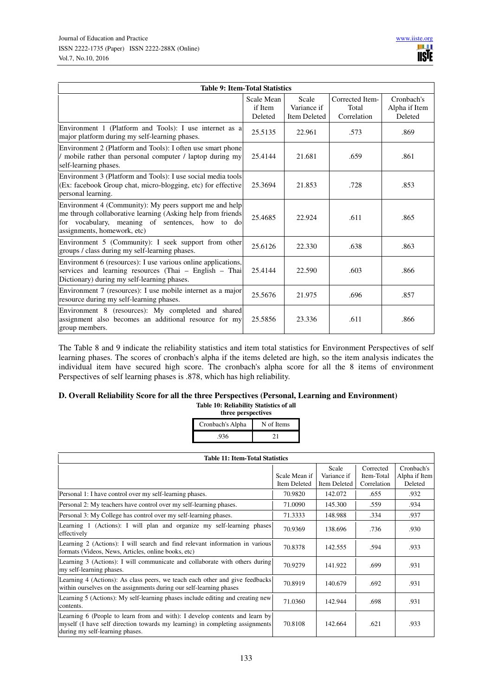| <b>Table 9: Item-Total Statistics</b>                                                                                                                                                                    |                                  |                                             |                                         |                                        |  |  |
|----------------------------------------------------------------------------------------------------------------------------------------------------------------------------------------------------------|----------------------------------|---------------------------------------------|-----------------------------------------|----------------------------------------|--|--|
|                                                                                                                                                                                                          | Scale Mean<br>if Item<br>Deleted | Scale<br>Variance if<br><b>Item Deleted</b> | Corrected Item-<br>Total<br>Correlation | Cronbach's<br>Alpha if Item<br>Deleted |  |  |
| Environment 1 (Platform and Tools): I use internet as a<br>major platform during my self-learning phases.                                                                                                | 25.5135                          | 22.961                                      | .573                                    | .869                                   |  |  |
| Environment 2 (Platform and Tools): I often use smart phone<br>mobile rather than personal computer / laptop during my<br>self-learning phases.                                                          | 25.4144                          | 21.681                                      | .659                                    | .861                                   |  |  |
| Environment 3 (Platform and Tools): I use social media tools<br>(Ex: facebook Group chat, micro-blogging, etc) for effective<br>personal learning.                                                       | 25.3694                          | 21.853                                      | .728                                    | .853                                   |  |  |
| Environment 4 (Community): My peers support me and help<br>me through collaborative learning (Asking help from friends<br>for vocabulary, meaning of sentences, how to do<br>assignments, homework, etc) | 25.4685                          | 22.924                                      | .611                                    | .865                                   |  |  |
| Environment 5 (Community): I seek support from other<br>groups / class during my self-learning phases.                                                                                                   | 25.6126                          | 22.330                                      | .638                                    | .863                                   |  |  |
| Environment 6 (resources): I use various online applications,<br>services and learning resources (Thai – English – Thai<br>Dictionary) during my self-learning phases.                                   | 25.4144                          | 22.590                                      | .603                                    | .866                                   |  |  |
| Environment 7 (resources): I use mobile internet as a major<br>resource during my self-learning phases.                                                                                                  | 25.5676                          | 21.975                                      | .696                                    | .857                                   |  |  |
| Environment 8 (resources): My completed and shared<br>assignment also becomes an additional resource for my<br>group members.                                                                            | 25.5856                          | 23.336                                      | .611                                    | .866                                   |  |  |

The Table 8 and 9 indicate the reliability statistics and item total statistics for Environment Perspectives of self learning phases. The scores of cronbach's alpha if the items deleted are high, so the item analysis indicates the individual item have secured high score. The cronbach's alpha score for all the 8 items of environment Perspectives of self learning phases is .878, which has high reliability.

#### **D. Overall Reliability Score for all the three Perspectives (Personal, Learning and Environment) Table 10: Reliability Statistics of all**

**three perspectives**

| Cronbach's Alpha | N of Items |
|------------------|------------|
| .936             |            |

| <b>Table 11: Item-Total Statistics</b>                                                                                                                                                         |                               |                                      |                                        |                                        |  |  |
|------------------------------------------------------------------------------------------------------------------------------------------------------------------------------------------------|-------------------------------|--------------------------------------|----------------------------------------|----------------------------------------|--|--|
|                                                                                                                                                                                                | Scale Mean if<br>Item Deleted | Scale<br>Variance if<br>Item Deleted | Corrected<br>Item-Total<br>Correlation | Cronbach's<br>Alpha if Item<br>Deleted |  |  |
| Personal 1: I have control over my self-learning phases.                                                                                                                                       | 70.9820                       | 142.072                              | .655                                   | .932                                   |  |  |
| Personal 2: My teachers have control over my self-learning phases.                                                                                                                             | 71.0090                       | 145.300                              | .559                                   | .934                                   |  |  |
| Personal 3: My College has control over my self-learning phases.                                                                                                                               | 71.3333                       | 148.988                              | .334                                   | .937                                   |  |  |
| Learning 1 (Actions): I will plan and organize my self-learning phases<br>effectively                                                                                                          | 70.9369                       | 138.696                              | .736                                   | .930                                   |  |  |
| Learning 2 (Actions): I will search and find relevant information in various<br>formats (Videos, News, Articles, online books, etc)                                                            | 70.8378                       | 142.555                              | .594                                   | .933                                   |  |  |
| Learning 3 (Actions): I will communicate and collaborate with others during<br>my self-learning phases.                                                                                        | 70.9279                       | 141.922                              | .699                                   | .931                                   |  |  |
| Learning 4 (Actions): As class peers, we teach each other and give feedbacks<br>within ourselves on the assignments during our self-learning phases                                            | 70.8919                       | 140.679                              | .692                                   | .931                                   |  |  |
| Learning 5 (Actions): My self-learning phases include editing and creating new<br>contents.                                                                                                    | 71.0360                       | 142.944                              | .698                                   | .931                                   |  |  |
| Learning 6 (People to learn from and with): I develop contents and learn by<br>myself (I have self direction towards my learning) in completing assignments<br>during my self-learning phases. | 70.8108                       | 142.664                              | .621                                   | .933                                   |  |  |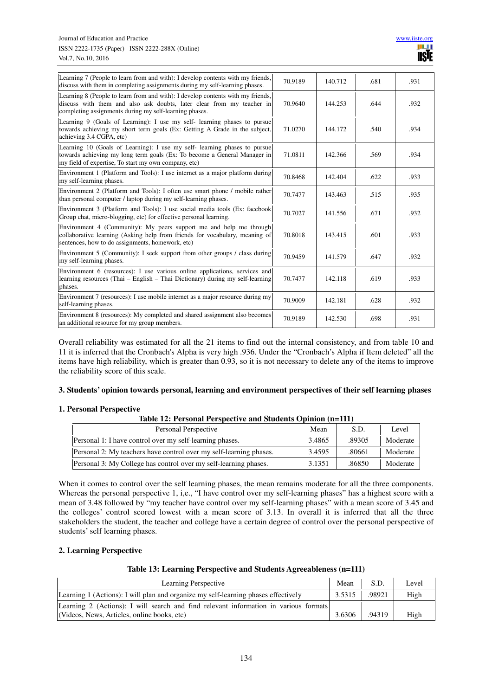| Learning 7 (People to learn from and with): I develop contents with my friends,<br>discuss with them in completing assignments during my self-learning phases.                                                     | 70.9189 | 140.712 | .681 | .931 |
|--------------------------------------------------------------------------------------------------------------------------------------------------------------------------------------------------------------------|---------|---------|------|------|
| Learning 8 (People to learn from and with): I develop contents with my friends,<br>discuss with them and also ask doubts, later clear from my teacher in<br>completing assignments during my self-learning phases. | 70.9640 | 144.253 | .644 | .932 |
| Learning 9 (Goals of Learning): I use my self-learning phases to pursue<br>towards achieving my short term goals (Ex: Getting A Grade in the subject,<br>achieving 3.4 CGPA, etc)                                  | 71.0270 | 144.172 | .540 | .934 |
| Learning 10 (Goals of Learning): I use my self-learning phases to pursue<br>towards achieving my long term goals (Ex: To become a General Manager in<br>my field of expertise, To start my own company, etc)       | 71.0811 | 142.366 | .569 | .934 |
| Environment 1 (Platform and Tools): I use internet as a major platform during<br>my self-learning phases.                                                                                                          | 70.8468 | 142.404 | .622 | .933 |
| Environment 2 (Platform and Tools): I often use smart phone / mobile rather<br>than personal computer / laptop during my self-learning phases.                                                                     | 70.7477 | 143.463 | .515 | .935 |
| Environment 3 (Platform and Tools): I use social media tools (Ex: facebook<br>Group chat, micro-blogging, etc) for effective personal learning.                                                                    | 70.7027 | 141.556 | .671 | .932 |
| Environment 4 (Community): My peers support me and help me through<br>collaborative learning (Asking help from friends for vocabulary, meaning of<br>sentences, how to do assignments, homework, etc)              | 70.8018 | 143.415 | .601 | .933 |
| Environment 5 (Community): I seek support from other groups / class during<br>my self-learning phases.                                                                                                             | 70.9459 | 141.579 | .647 | .932 |
| Environment 6 (resources): I use various online applications, services and<br>learning resources (Thai $-$ English $-$ Thai Dictionary) during my self-learning<br>phases.                                         | 70.7477 | 142.118 | .619 | .933 |
| Environment 7 (resources): I use mobile internet as a major resource during my<br>self-learning phases.                                                                                                            | 70.9009 | 142.181 | .628 | .932 |
| Environment 8 (resources): My completed and shared assignment also becomes<br>an additional resource for my group members.                                                                                         | 70.9189 | 142.530 | .698 | .931 |

Overall reliability was estimated for all the 21 items to find out the internal consistency, and from table 10 and 11 it is inferred that the Cronbach's Alpha is very high .936. Under the "Cronbach's Alpha if Item deleted" all the items have high reliability, which is greater than 0.93, so it is not necessary to delete any of the items to improve the reliability score of this scale.

#### **3. Students' opinion towards personal, learning and environment perspectives of their self learning phases**

#### **1. Personal Perspective**

#### **Table 12: Personal Perspective and Students Opinion (n=111)**

| Personal Perspective                                               | Mean   | S.D.   | Level    |
|--------------------------------------------------------------------|--------|--------|----------|
| Personal 1: I have control over my self-learning phases.           | 3.4865 | .89305 | Moderate |
| Personal 2: My teachers have control over my self-learning phases. | 3.4595 | .80661 | Moderate |
| Personal 3: My College has control over my self-learning phases.   | 3.1351 | .86850 | Moderate |

When it comes to control over the self learning phases, the mean remains moderate for all the three components. Whereas the personal perspective 1, i,e., "I have control over my self-learning phases" has a highest score with a mean of 3.48 followed by "my teacher have control over my self-learning phases" with a mean score of 3.45 and the colleges' control scored lowest with a mean score of 3.13. In overall it is inferred that all the three stakeholders the student, the teacher and college have a certain degree of control over the personal perspective of students' self learning phases.

#### **2. Learning Perspective**

#### **Table 13: Learning Perspective and Students Agreeableness (n=111)**

| Learning Perspective                                                                 | Mean   | S.D.   | Level |
|--------------------------------------------------------------------------------------|--------|--------|-------|
| Learning 1 (Actions): I will plan and organize my self-learning phases effectively   | 3.5315 | .98921 | High  |
| Learning 2 (Actions): I will search and find relevant information in various formats |        |        |       |
| (Videos, News, Articles, online books, etc)                                          | 3.6306 | .94319 | High  |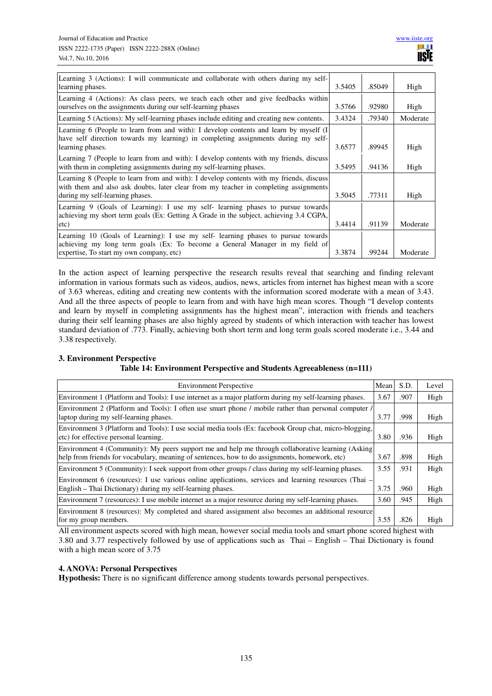| Learning 3 (Actions): I will communicate and collaborate with others during my self-                                                                                            |        |        |          |
|---------------------------------------------------------------------------------------------------------------------------------------------------------------------------------|--------|--------|----------|
| learning phases.                                                                                                                                                                | 3.5405 | .85049 | High     |
| Learning 4 (Actions): As class peers, we teach each other and give feedbacks within                                                                                             |        |        |          |
| ourselves on the assignments during our self-learning phases                                                                                                                    | 3.5766 | .92980 | High     |
| Learning 5 (Actions): My self-learning phases include editing and creating new contents.                                                                                        | 3.4324 | .79340 | Moderate |
| Learning 6 (People to learn from and with): I develop contents and learn by myself (I)<br>have self direction towards my learning) in completing assignments during my self-    |        |        |          |
| learning phases.                                                                                                                                                                | 3.6577 | .89945 | High     |
| Learning 7 (People to learn from and with): I develop contents with my friends, discuss                                                                                         |        |        |          |
| with them in completing assignments during my self-learning phases.                                                                                                             | 3.5495 | .94136 | High     |
| Learning 8 (People to learn from and with): I develop contents with my friends, discuss<br>with them and also ask doubts, later clear from my teacher in completing assignments |        |        |          |
| during my self-learning phases.                                                                                                                                                 | 3.5045 | .77311 | High     |
| Learning 9 (Goals of Learning): I use my self-learning phases to pursue towards<br>achieving my short term goals (Ex: Getting A Grade in the subject, achieving 3.4 CGPA,       |        |        |          |
| etc)                                                                                                                                                                            | 3.4414 | .91139 | Moderate |
| Learning 10 (Goals of Learning): I use my self-learning phases to pursue towards                                                                                                |        |        |          |
| achieving my long term goals (Ex: To become a General Manager in my field of<br>expertise, To start my own company, etc)                                                        | 3.3874 | .99244 | Moderate |

In the action aspect of learning perspective the research results reveal that searching and finding relevant information in various formats such as videos, audios, news, articles from internet has highest mean with a score of 3.63 whereas, editing and creating new contents with the information scored moderate with a mean of 3.43. And all the three aspects of people to learn from and with have high mean scores. Though "I develop contents and learn by myself in completing assignments has the highest mean", interaction with friends and teachers during their self learning phases are also highly agreed by students of which interaction with teacher has lowest standard deviation of .773. Finally, achieving both short term and long term goals scored moderate i.e., 3.44 and 3.38 respectively.

# **3. Environment Perspective**

# **Table 14: Environment Perspective and Students Agreeableness (n=111)**

| <b>Environment Perspective</b>                                                                         | Mean | S.D. | Level |
|--------------------------------------------------------------------------------------------------------|------|------|-------|
| Environment 1 (Platform and Tools): I use internet as a major platform during my self-learning phases. | 3.67 | .907 | High  |
| Environment 2 (Platform and Tools): I often use smart phone / mobile rather than personal computer /   |      |      |       |
| laptop during my self-learning phases.                                                                 | 3.77 | .998 | High  |
| Environment 3 (Platform and Tools): I use social media tools (Ex: facebook Group chat, micro-blogging, |      |      |       |
| etc) for effective personal learning.                                                                  | 3.80 | .936 | High  |
| Environment 4 (Community): My peers support me and help me through collaborative learning (Asking      |      |      |       |
| help from friends for vocabulary, meaning of sentences, how to do assignments, homework, etc)          | 3.67 | .898 | High  |
| Environment 5 (Community): I seek support from other groups / class during my self-learning phases.    | 3.55 | .931 | High  |
| Environment 6 (resources): I use various online applications, services and learning resources (Thai –  |      |      |       |
| English – Thai Dictionary) during my self-learning phases.                                             | 3.75 | .960 | High  |
| Environment 7 (resources): I use mobile internet as a major resource during my self-learning phases.   | 3.60 | .945 | High  |
| Environment 8 (resources): My completed and shared assignment also becomes an additional resource      |      |      |       |
| for my group members.                                                                                  | 3.55 | .826 | High  |

All environment aspects scored with high mean, however social media tools and smart phone scored highest with 3.80 and 3.77 respectively followed by use of applications such as Thai – English – Thai Dictionary is found with a high mean score of 3.75

# **4. ANOVA: Personal Perspectives**

**Hypothesis:** There is no significant difference among students towards personal perspectives.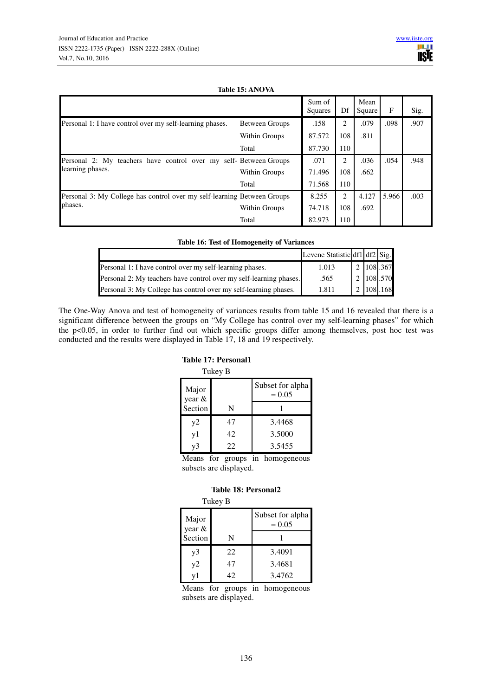#### **Table 15: ANOVA**

|                                                                         |                       | Sum of<br>Squares | Df  | Mean<br>Square | F     | Sig. |
|-------------------------------------------------------------------------|-----------------------|-------------------|-----|----------------|-------|------|
| Personal 1: I have control over my self-learning phases.                | <b>Between Groups</b> | .158              | 2   | .079           | .098  | .907 |
|                                                                         | Within Groups         | 87.572            | 108 | .811           |       |      |
|                                                                         | Total                 | 87.730            | 110 |                |       |      |
| Personal 2: My teachers have control over my                            | self- Between Groups  | .071              | 2   | .036           | .054  | .948 |
| learning phases.                                                        | Within Groups         | 71.496            | 108 | .662           |       |      |
|                                                                         | Total                 | 71.568            | 110 |                |       |      |
| Personal 3: My College has control over my self-learning Between Groups |                       | 8.255             | 2   | 4.127          | 5.966 | .003 |
| phases.                                                                 | Within Groups         | 74.718            | 108 | .692           |       |      |
|                                                                         | Total                 | 82.973            | 110 |                |       |      |

| <b>Table 16: Test of Homogeneity of Variances</b>                  |                               |  |           |  |  |  |  |
|--------------------------------------------------------------------|-------------------------------|--|-----------|--|--|--|--|
|                                                                    | Levene Statistic df1 df2 Sig. |  |           |  |  |  |  |
| Personal 1: I have control over my self-learning phases.           | 1.013                         |  | 2 108 367 |  |  |  |  |
| Personal 2: My teachers have control over my self-learning phases. | .565                          |  | 2 108 570 |  |  |  |  |
| Personal 3: My College has control over my self-learning phases.   | 1.811                         |  | 2 108 168 |  |  |  |  |

The One-Way Anova and test of homogeneity of variances results from table 15 and 16 revealed that there is a significant difference between the groups on "My College has control over my self-learning phases" for which the p<0.05, in order to further find out which specific groups differ among themselves, post hoc test was conducted and the results were displayed in Table 17, 18 and 19 respectively.

#### **Table 17: Personal1**

|                 | Tukey B |                              |
|-----------------|---------|------------------------------|
| Major<br>year & |         | Subset for alpha<br>$= 0.05$ |
| Section         | N       |                              |
| y2              | 47      | 3.4468                       |
| y1              | 42      | 3.5000                       |
| v3              | 22      | 3.5455                       |

Means for groups in homogeneous subsets are displayed.

#### **Table 18: Personal2**

| в<br>L<br>e v<br>× |  |
|--------------------|--|
|--------------------|--|

| Major<br>year & |    | Subset for alpha<br>$= 0.05$ |
|-----------------|----|------------------------------|
| Section         | N  |                              |
| y3              | 22 | 3.4091                       |
| v2              | 47 | 3.4681                       |
|                 | 42 | 3.4762                       |

Means for groups in homogeneous subsets are displayed.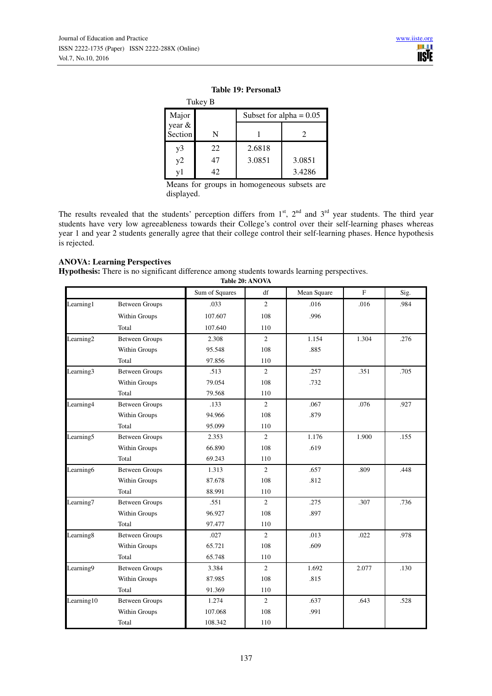|                   | Tukey B |                           |        |  |  |
|-------------------|---------|---------------------------|--------|--|--|
| Major             |         | Subset for alpha = $0.05$ |        |  |  |
| year &<br>Section | N       |                           | 2      |  |  |
| y3                | 22      | 2.6818                    |        |  |  |
| y2                | 47      | 3.0851                    | 3.0851 |  |  |
| v1                | 42      |                           | 3.4286 |  |  |

#### **Table 19: Personal3**

Means for groups in homogeneous subsets are displayed.

The results revealed that the students' perception differs from  $1<sup>st</sup>$ ,  $2<sup>nd</sup>$  and  $3<sup>rd</sup>$  year students. The third year students have very low agreeableness towards their College's control over their self-learning phases whereas year 1 and year 2 students generally agree that their college control their self-learning phases. Hence hypothesis is rejected.

# **ANOVA: Learning Perspectives**

**Hypothesis:** There is no significant difference among students towards learning perspectives. **Table 20: ANOVA**

|                       |                       |                | Table 20: AINO VA |             |       |      |
|-----------------------|-----------------------|----------------|-------------------|-------------|-------|------|
|                       |                       | Sum of Squares | df                | Mean Square | F     | Sig. |
| Learning1             | <b>Between Groups</b> | .033           | $\overline{2}$    | .016        | .016  | .984 |
|                       | Within Groups         | 107.607        | 108               | .996        |       |      |
|                       | Total                 | 107.640        | 110               |             |       |      |
| Learning <sub>2</sub> | <b>Between Groups</b> | 2.308          | $\sqrt{2}$        | 1.154       | 1.304 | .276 |
|                       | Within Groups         | 95.548         | 108               | .885        |       |      |
|                       | Total                 | 97.856         | 110               |             |       |      |
| Learning <sub>3</sub> | <b>Between Groups</b> | .513           | $\overline{2}$    | .257        | .351  | .705 |
|                       | Within Groups         | 79.054         | 108               | .732        |       |      |
|                       | Total                 | 79.568         | 110               |             |       |      |
| Learning4             | <b>Between Groups</b> | .133           | $\overline{2}$    | .067        | .076  | .927 |
|                       | Within Groups         | 94.966         | 108               | .879        |       |      |
|                       | Total                 | 95.099         | 110               |             |       |      |
| Learning <sub>5</sub> | <b>Between Groups</b> | 2.353          | 2                 | 1.176       | 1.900 | .155 |
|                       | Within Groups         | 66.890         | 108               | .619        |       |      |
|                       | Total                 | 69.243         | 110               |             |       |      |
| Learning <sub>6</sub> | <b>Between Groups</b> | 1.313          | $\overline{2}$    | .657        | .809  | .448 |
|                       | Within Groups         | 87.678         | 108               | .812        |       |      |
|                       | Total                 | 88.991         | 110               |             |       |      |
| Learning7             | <b>Between Groups</b> | .551           | $\overline{2}$    | .275        | .307  | .736 |
|                       | Within Groups         | 96.927         | 108               | .897        |       |      |
|                       | Total                 | 97.477         | 110               |             |       |      |
| Learning8             | <b>Between Groups</b> | .027           | $\overline{2}$    | .013        | .022  | .978 |
|                       | Within Groups         | 65.721         | 108               | .609        |       |      |
|                       | Total                 | 65.748         | 110               |             |       |      |
| Learning9             | <b>Between Groups</b> | 3.384          | $\overline{2}$    | 1.692       | 2.077 | .130 |
|                       | Within Groups         | 87.985         | 108               | .815        |       |      |
|                       | Total                 | 91.369         | 110               |             |       |      |
| Learning10            | <b>Between Groups</b> | 1.274          | $\overline{2}$    | .637        | .643  | .528 |
|                       | Within Groups         | 107.068        | 108               | .991        |       |      |
|                       | Total                 | 108.342        | 110               |             |       |      |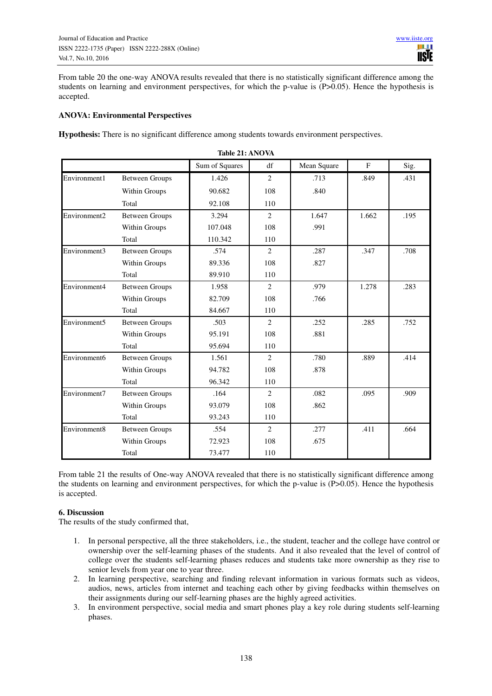From table 20 the one-way ANOVA results revealed that there is no statistically significant difference among the students on learning and environment perspectives, for which the p-value is (P>0.05). Hence the hypothesis is accepted.

# **ANOVA: Environmental Perspectives**

**Hypothesis:** There is no significant difference among students towards environment perspectives.

|              | Table 21: ANOVA       |                |                |             |              |      |  |
|--------------|-----------------------|----------------|----------------|-------------|--------------|------|--|
|              |                       | Sum of Squares | df             | Mean Square | $\mathbf{F}$ | Sig. |  |
| Environment1 | <b>Between Groups</b> | 1.426          | 2              | .713        | .849         | .431 |  |
|              | Within Groups         | 90.682         | 108            | .840        |              |      |  |
|              | Total                 | 92.108         | 110            |             |              |      |  |
| Environment2 | <b>Between Groups</b> | 3.294          | $\overline{c}$ | 1.647       | 1.662        | .195 |  |
|              | Within Groups         | 107.048        | 108            | .991        |              |      |  |
|              | Total                 | 110.342        | 110            |             |              |      |  |
| Environment3 | <b>Between Groups</b> | .574           | 2              | .287        | .347         | .708 |  |
|              | Within Groups         | 89.336         | 108            | .827        |              |      |  |
|              | Total                 | 89.910         | 110            |             |              |      |  |
| Environment4 | <b>Between Groups</b> | 1.958          | 2              | .979        | 1.278        | .283 |  |
|              | Within Groups         | 82.709         | 108            | .766        |              |      |  |
|              | Total                 | 84.667         | 110            |             |              |      |  |
| Environment5 | <b>Between Groups</b> | .503           | $\overline{2}$ | .252        | .285         | .752 |  |
|              | Within Groups         | 95.191         | 108            | .881        |              |      |  |
|              | Total                 | 95.694         | 110            |             |              |      |  |
| Environment6 | <b>Between Groups</b> | 1.561          | $\overline{2}$ | .780        | .889         | .414 |  |
|              | Within Groups         | 94.782         | 108            | .878        |              |      |  |
|              | Total                 | 96.342         | 110            |             |              |      |  |
| Environment7 | <b>Between Groups</b> | .164           | $\mathfrak{D}$ | .082        | .095         | .909 |  |
|              | Within Groups         | 93.079         | 108            | .862        |              |      |  |
|              | Total                 | 93.243         | 110            |             |              |      |  |
| Environment8 | <b>Between Groups</b> | .554           | 2              | .277        | .411         | .664 |  |
|              | Within Groups         | 72.923         | 108            | .675        |              |      |  |
|              | Total                 | 73.477         | 110            |             |              |      |  |

From table 21 the results of One-way ANOVA revealed that there is no statistically significant difference among the students on learning and environment perspectives, for which the p-value is (P>0.05). Hence the hypothesis is accepted.

# **6. Discussion**

The results of the study confirmed that,

- 1. In personal perspective, all the three stakeholders, i.e., the student, teacher and the college have control or ownership over the self-learning phases of the students. And it also revealed that the level of control of college over the students self-learning phases reduces and students take more ownership as they rise to senior levels from year one to year three.
- 2. In learning perspective, searching and finding relevant information in various formats such as videos, audios, news, articles from internet and teaching each other by giving feedbacks within themselves on their assignments during our self-learning phases are the highly agreed activities.
- 3. In environment perspective, social media and smart phones play a key role during students self-learning phases.